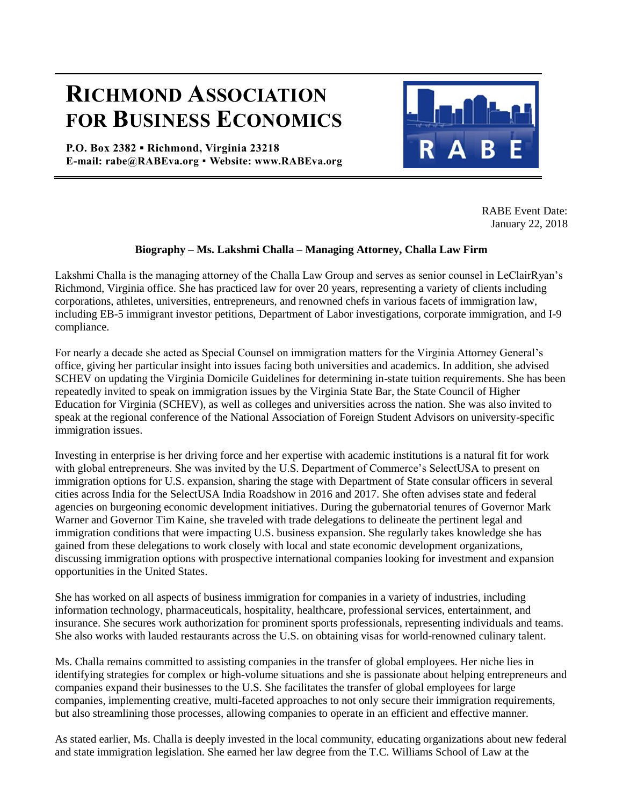## **RICHMOND ASSOCIATION FOR BUSINESS ECONOMICS**

**P.O. Box 2382 ▪ Richmond, Virginia 23218 E-mail: rabe@RABEva.org** ▪ **Website: www.RABEva.org**



RABE Event Date: January 22, 2018

## **Biography – Ms. Lakshmi Challa – Managing Attorney, Challa Law Firm**

Lakshmi Challa is the managing attorney of the Challa Law Group and serves as senior counsel in LeClairRyan's Richmond, Virginia office. She has practiced law for over 20 years, representing a variety of clients including corporations, athletes, universities, entrepreneurs, and renowned chefs in various facets of immigration law, including EB-5 immigrant investor petitions, Department of Labor investigations, corporate immigration, and I-9 compliance.

For nearly a decade she acted as Special Counsel on immigration matters for the Virginia Attorney General's office, giving her particular insight into issues facing both universities and academics. In addition, she advised SCHEV on updating the Virginia Domicile Guidelines for determining in-state tuition requirements. She has been repeatedly invited to speak on immigration issues by the Virginia State Bar, the State Council of Higher Education for Virginia (SCHEV), as well as colleges and universities across the nation. She was also invited to speak at the regional conference of the National Association of Foreign Student Advisors on university-specific immigration issues.

Investing in enterprise is her driving force and her expertise with academic institutions is a natural fit for work with global entrepreneurs. She was invited by the U.S. Department of Commerce's SelectUSA to present on immigration options for U.S. expansion, sharing the stage with Department of State consular officers in several cities across India for the SelectUSA India Roadshow in 2016 and 2017. She often advises state and federal agencies on burgeoning economic development initiatives. During the gubernatorial tenures of Governor Mark Warner and Governor Tim Kaine, she traveled with trade delegations to delineate the pertinent legal and immigration conditions that were impacting U.S. business expansion. She regularly takes knowledge she has gained from these delegations to work closely with local and state economic development organizations, discussing immigration options with prospective international companies looking for investment and expansion opportunities in the United States.

She has worked on all aspects of business immigration for companies in a variety of industries, including information technology, pharmaceuticals, hospitality, healthcare, professional services, entertainment, and insurance. She secures work authorization for prominent sports professionals, representing individuals and teams. She also works with lauded restaurants across the U.S. on obtaining visas for world-renowned culinary talent.

Ms. Challa remains committed to assisting companies in the transfer of global employees. Her niche lies in identifying strategies for complex or high-volume situations and she is passionate about helping entrepreneurs and companies expand their businesses to the U.S. She facilitates the transfer of global employees for large companies, implementing creative, multi-faceted approaches to not only secure their immigration requirements, but also streamlining those processes, allowing companies to operate in an efficient and effective manner.

As stated earlier, Ms. Challa is deeply invested in the local community, educating organizations about new federal and state immigration legislation. She earned her law degree from the T.C. Williams School of Law at the